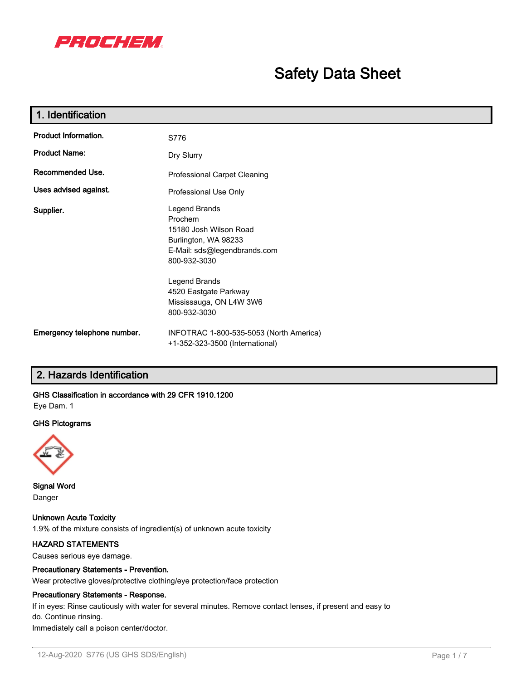

# **Safety Data Sheet**

| 1. Identification           |                                                                                                                            |  |  |  |
|-----------------------------|----------------------------------------------------------------------------------------------------------------------------|--|--|--|
| <b>Product Information.</b> | S776                                                                                                                       |  |  |  |
| <b>Product Name:</b>        | Dry Slurry                                                                                                                 |  |  |  |
| Recommended Use.            | Professional Carpet Cleaning                                                                                               |  |  |  |
| Uses advised against.       | Professional Use Only                                                                                                      |  |  |  |
| Supplier.                   | Legend Brands<br>Prochem<br>15180 Josh Wilson Road<br>Burlington, WA 98233<br>E-Mail: sds@legendbrands.com<br>800-932-3030 |  |  |  |
|                             | Legend Brands<br>4520 Eastgate Parkway<br>Mississauga, ON L4W 3W6<br>800-932-3030                                          |  |  |  |
| Emergency telephone number. | INFOTRAC 1-800-535-5053 (North America)<br>+1-352-323-3500 (International)                                                 |  |  |  |

# **2. Hazards Identification**

# **GHS Classification in accordance with 29 CFR 1910.1200**

Eye Dam. 1

# **GHS Pictograms**



**Signal Word** Danger

**Unknown Acute Toxicity** 1.9% of the mixture consists of ingredient(s) of unknown acute toxicity

# **HAZARD STATEMENTS**

Causes serious eye damage.

## **Precautionary Statements - Prevention.**

Wear protective gloves/protective clothing/eye protection/face protection

#### **Precautionary Statements - Response.**

If in eyes: Rinse cautiously with water for several minutes. Remove contact lenses, if present and easy to do. Continue rinsing.

Immediately call a poison center/doctor.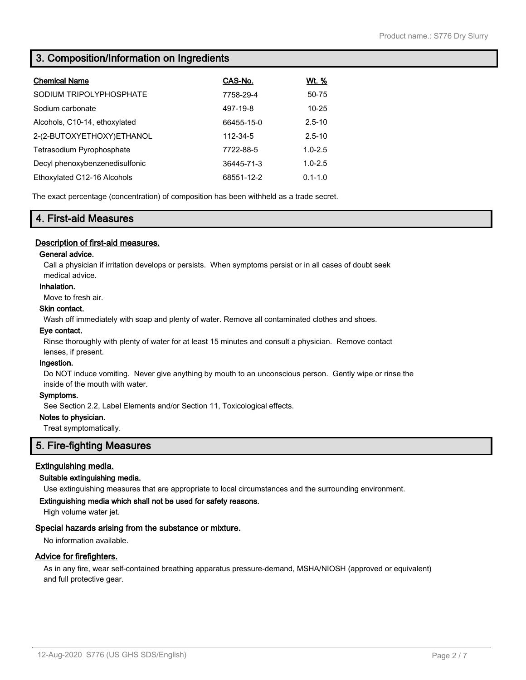# **3. Composition/Information on Ingredients**

| <b>Chemical Name</b>           | CAS-No.    | Wt. %       |
|--------------------------------|------------|-------------|
| SODIUM TRIPOLYPHOSPHATE        | 7758-29-4  | 50-75       |
| Sodium carbonate               | 497-19-8   | $10 - 25$   |
| Alcohols, C10-14, ethoxylated  | 66455-15-0 | $2.5 - 10$  |
| 2-(2-BUTOXYETHOXY)ETHANOL      | 112-34-5   | $2.5 - 10$  |
| Tetrasodium Pyrophosphate      | 7722-88-5  | $1.0 - 2.5$ |
| Decyl phenoxybenzenedisulfonic | 36445-71-3 | $1.0 - 2.5$ |
| Ethoxylated C12-16 Alcohols    | 68551-12-2 | $0.1 - 1.0$ |

The exact percentage (concentration) of composition has been withheld as a trade secret.

# **4. First-aid Measures**

# **Description of first-aid measures.**

## **General advice.**

Call a physician if irritation develops or persists. When symptoms persist or in all cases of doubt seek medical advice.

#### **Inhalation.**

Move to fresh air.

# **Skin contact.**

Wash off immediately with soap and plenty of water. Remove all contaminated clothes and shoes.

#### **Eye contact.**

Rinse thoroughly with plenty of water for at least 15 minutes and consult a physician. Remove contact lenses, if present.

#### **Ingestion.**

Do NOT induce vomiting. Never give anything by mouth to an unconscious person. Gently wipe or rinse the inside of the mouth with water.

## **Symptoms.**

See Section 2.2, Label Elements and/or Section 11, Toxicological effects.

# **Notes to physician.**

Treat symptomatically.

# **5. Fire-fighting Measures**

# **Extinguishing media.**

## **Suitable extinguishing media.**

Use extinguishing measures that are appropriate to local circumstances and the surrounding environment.

## **Extinguishing media which shall not be used for safety reasons.**

High volume water jet.

# **Special hazards arising from the substance or mixture.**

No information available.

## **Advice for firefighters.**

As in any fire, wear self-contained breathing apparatus pressure-demand, MSHA/NIOSH (approved or equivalent) and full protective gear.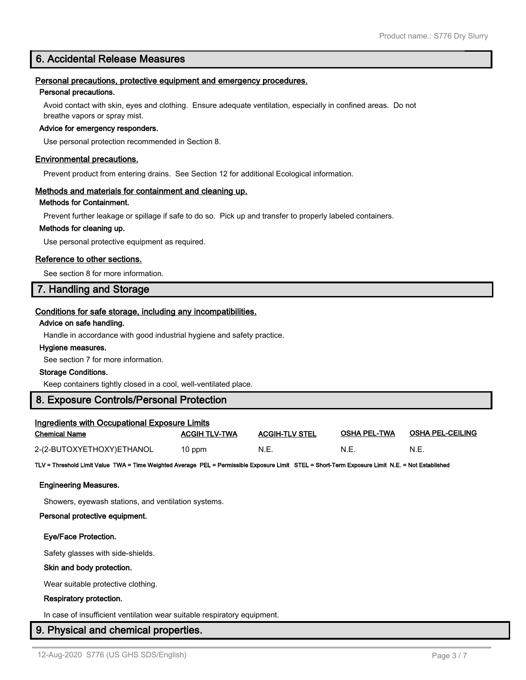# **6. Accidental Release Measures**

## **Personal precautions, protective equipment and emergency procedures.**

#### **Personal precautions.**

Avoid contact with skin, eyes and clothing. Ensure adequate ventilation, especially in confined areas. Do not breathe vapors or spray mist.

#### **Advice for emergency responders.**

Use personal protection recommended in Section 8.

#### **Environmental precautions.**

Prevent product from entering drains. See Section 12 for additional Ecological information.

#### **Methods and materials for containment and cleaning up.**

## **Methods for Containment.**

Prevent further leakage or spillage if safe to do so. Pick up and transfer to properly labeled containers.

#### **Methods for cleaning up.**

Use personal protective equipment as required.

## **Reference to other sections.**

See section 8 for more information.

# **7. Handling and Storage**

# **Conditions for safe storage, including any incompatibilities.**

#### **Advice on safe handling.**

Handle in accordance with good industrial hygiene and safety practice.

#### **Hygiene measures.**

See section 7 for more information.

#### **Storage Conditions.**

Keep containers tightly closed in a cool, well-ventilated place.

# **8. Exposure Controls/Personal Protection**

| <b>Ingredients with Occupational Exposure Limits</b> |                      |                       |                     |                  |  |  |
|------------------------------------------------------|----------------------|-----------------------|---------------------|------------------|--|--|
| <b>Chemical Name</b>                                 | <b>ACGIH TLV-TWA</b> | <b>ACGIH-TLV STEL</b> | <b>OSHA PEL-TWA</b> | OSHA PEL-CEILING |  |  |
| 2-(2-BUTOXYETHOXY)ETHANOL                            | 10 ppm               | N.E.                  | N.E.                | N.E              |  |  |

**TLV = Threshold Limit Value TWA = Time Weighted Average PEL = Permissible Exposure Limit STEL = Short-Term Exposure Limit N.E. = Not Established**

#### **Engineering Measures.**

Showers, eyewash stations, and ventilation systems.

#### **Personal protective equipment.**

#### **Eye/Face Protection.**

Safety glasses with side-shields.

#### **Skin and body protection.**

Wear suitable protective clothing.

#### **Respiratory protection.**

In case of insufficient ventilation wear suitable respiratory equipment.

# **9. Physical and chemical properties.**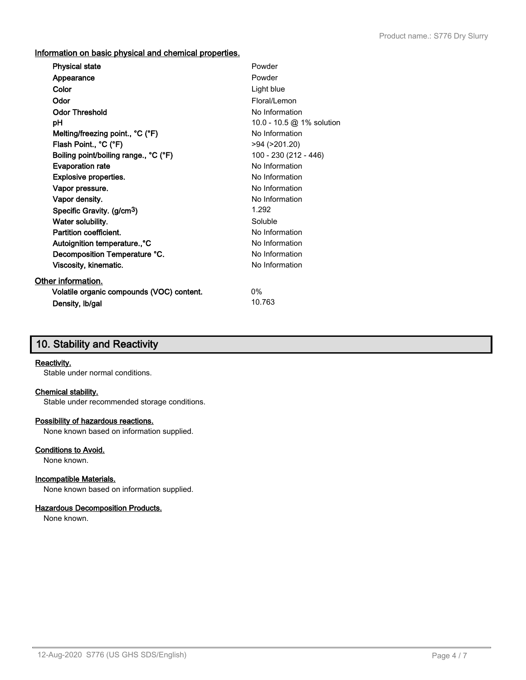**Information on basic physical and chemical properties.**

| <b>Physical state</b>                     | Powder                    |
|-------------------------------------------|---------------------------|
| Appearance                                | Powder                    |
| Color                                     | Light blue                |
| Odor                                      | Floral/Lemon              |
| <b>Odor Threshold</b>                     | No Information            |
| рH                                        | 10.0 - 10.5 @ 1% solution |
| Melting/freezing point., °C (°F)          | No Information            |
| Flash Point., °C (°F)                     | $>94$ ( $>201.20$ )       |
| Boiling point/boiling range., °C (°F)     | 100 - 230 (212 - 446)     |
| <b>Evaporation rate</b>                   | No Information            |
| Explosive properties.                     | No Information            |
| Vapor pressure.                           | No Information            |
| Vapor density.                            | No Information            |
| Specific Gravity. (g/cm <sup>3</sup> )    | 1.292                     |
| Water solubility.                         | Soluble                   |
| Partition coefficient.                    | No Information            |
| Autoignition temperature., °C             | No Information            |
| Decomposition Temperature °C.             | No Information            |
| Viscosity, kinematic.                     | No Information            |
| Other information.                        |                           |
| Volatile organic compounds (VOC) content. | 0%                        |
| Density, Ib/gal                           | 10.763                    |
|                                           |                           |

# **10. Stability and Reactivity**

#### **Reactivity.**

Stable under normal conditions.

# **Chemical stability.**

Stable under recommended storage conditions.

# **Possibility of hazardous reactions.**

None known based on information supplied.

# **Conditions to Avoid.**

None known.

# **Incompatible Materials.**

None known based on information supplied.

## **Hazardous Decomposition Products.**

None known.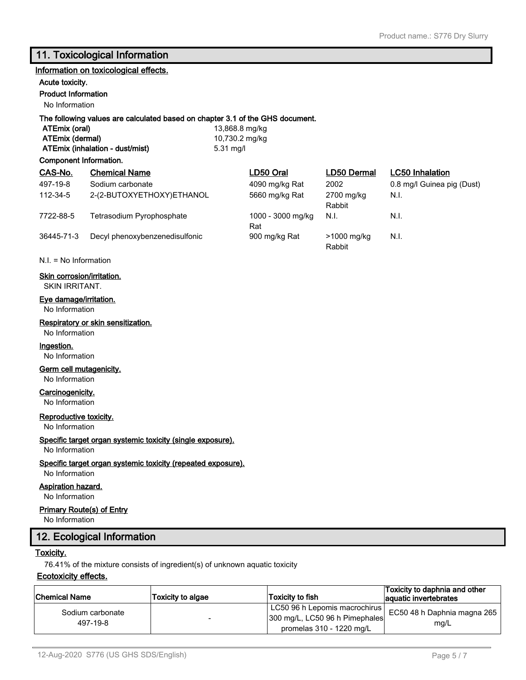# **11. Toxicological Information**

## **Information on toxicological effects.**

#### **Acute toxicity.**

**Product Information**

No Information

# **The following values are calculated based on chapter 3.1 of the GHS document.**

**ATEmix (oral)** 13,868.8 mg/kg **ATEmix (dermal)** 10,730.2 mg/kg **ATEmix (inhalation - dust/mist)** 5.31 mg/l

# **Component Information.**

| CAS-No.    | <b>Chemical Name</b>           | LD50 Oral                | LD50 Dermal           | <b>LC50</b> Inhalation     |
|------------|--------------------------------|--------------------------|-----------------------|----------------------------|
| 497-19-8   | Sodium carbonate               | 4090 mg/kg Rat           | 2002                  | 0.8 mg/l Guinea pig (Dust) |
| 112-34-5   | 2-(2-BUTOXYETHOXY)ETHANOL      | 5660 mg/kg Rat           | 2700 mg/kg<br>Rabbit  | N.I.                       |
| 7722-88-5  | Tetrasodium Pyrophosphate      | 1000 - 3000 mg/kg<br>Rat | N.I.                  | N.I.                       |
| 36445-71-3 | Decyl phenoxybenzenedisulfonic | 900 mg/kg Rat            | >1000 mg/kg<br>Rabbit | N.I.                       |

N.I. = No Information

## **Skin corrosion/irritation.**

SKIN IRRITANT.

#### **Eye damage/irritation.**

No Information

## **Respiratory or skin sensitization.**

No Information

#### **Ingestion.**

No Information

# **Germ cell mutagenicity.**

No Information

# **Carcinogenicity.**

No Information

# **Reproductive toxicity.**

No Information

## **Specific target organ systemic toxicity (single exposure).**

# No Information

## **Specific target organ systemic toxicity (repeated exposure).**

No Information

# **Aspiration hazard.**

No Information

# **Primary Route(s) of Entry**

No Information

# **12. Ecological Information**

# **Toxicity.**

76.41% of the mixture consists of ingredient(s) of unknown aquatic toxicity

# **Ecotoxicity effects.**

| ∣Chemical Name               | <b>Toxicity to algae</b> | Toxicity to fish                                                                            | Toxicity to daphnia and other<br>aquatic invertebrates |
|------------------------------|--------------------------|---------------------------------------------------------------------------------------------|--------------------------------------------------------|
| Sodium carbonate<br>497-19-8 |                          | LC50 96 h Lepomis macrochirus<br>300 mg/L, LC50 96 h Pimephales<br>promelas 310 - 1220 mg/L | EC50 48 h Daphnia magna 265  <br>mg/L                  |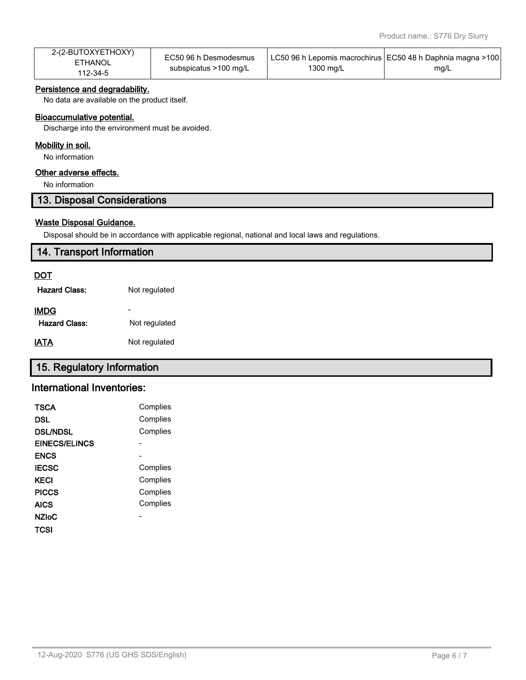| 2-(2-BUTOXYETHOXY) | EC50 96 h Desmodesmus |           | LC50 96 h Lepomis macrochirus   EC50 48 h Daphnia magna >100 |
|--------------------|-----------------------|-----------|--------------------------------------------------------------|
| ETHANOL            | subspicatus >100 mg/L | 1300 mg/L |                                                              |
| 112-34-5           |                       |           | mg/L                                                         |

# **Persistence and degradability.**

No data are available on the product itself.

## **Bioaccumulative potential.**

Discharge into the environment must be avoided.

#### **Mobility in soil.**

No information

# **Other adverse effects.**

No information

# **13. Disposal Considerations**

# **Waste Disposal Guidance.**

Disposal should be in accordance with applicable regional, national and local laws and regulations.

# **14. Transport Information**

# **DOT**

| Hazard Class:        | Not regulated |
|----------------------|---------------|
| IMDG                 |               |
| <b>Hazard Class:</b> | Not regulated |
| IATA                 | Not regulated |

# **15. Regulatory Information**

# **International Inventories:**

| TSCA                 | Complies |
|----------------------|----------|
| DSL                  | Complies |
| <b>DSL/NDSL</b>      | Complies |
| <b>EINECS/ELINCS</b> |          |
| <b>ENCS</b>          |          |
| <b>IECSC</b>         | Complies |
| KECI                 | Complies |
| <b>PICCS</b>         | Complies |
| <b>AICS</b>          | Complies |
| <b>NZIoC</b>         |          |
| TCSI                 |          |